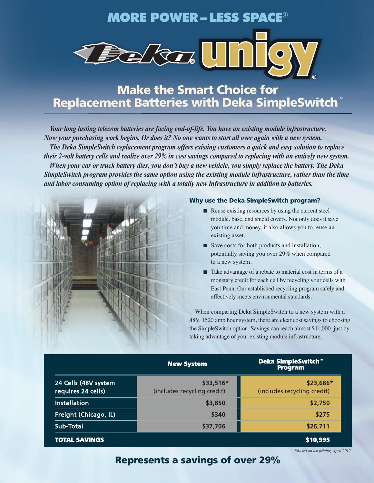## **MORE POWER – LESS SPACE**®



# **Make the Smart Choice for Replacement Batteries with Deka SimpleSwitch**™

*Your long lasting telecom batteries are facing end-of-life. You have an existing module infrastructure.* Now your purchasing work begins. Or does it? No one wants to start all over again with a new system. *The Deka SimpleSwitch replacement program offers existing customers a quick and easy solution to replace* their 2-volt battery cells and realize over 29% in cost savings compared to replacing with an entirely new system. When your car or truck battery dies, you don't buy a new vehicle, you simply replace the battery. The Deka *SimpleSwitch program provides the same option using the existing module infrastructure, rather than the time and labor consuming option of replacing with a totally new infrastructure in addition to batteries.*



#### **Why use the Deka SimpleSwitch program?**

- Reuse existing resources by using the current steel module, base, and shield covers. Not only does it save you time and money, it also allows you to reuse an existing asset.
- Save costs for both products and installation, potentially saving you over 29% when compared to a new system.
- Take advantage of a rebate to material cost in terms of a monetary credit for each cell by recycling your cells with East Penn. Our established recycling program safely and effectively meets environmental standards.

When comparing Deka SimpleSwitch to a new system with a 48V, 1520 amp hour system, there are clear cost savings to choosing the SimpleSwitch option. Savings can reach almost \$11,000, just by taking advantage of your existing module infrastructure.

|                                            | <b>New System</b>                        | Deka SimpleSwitch™<br><b>Program</b>     |
|--------------------------------------------|------------------------------------------|------------------------------------------|
| 24 Cells (48V system<br>requires 24 cells) | \$33,516*<br>(includes recycling credit) | \$23,686*<br>(includes recycling credit) |
| <b>Installation</b>                        | \$3,850                                  | \$2,750                                  |
| Freight (Chicago, IL)                      | \$340                                    | \$275                                    |
| Sub-Total                                  | \$37,706                                 | \$26,711                                 |
| <b>TOTAL SAVINGS</b>                       |                                          | \$10,995                                 |

*\*Based on list pricing, April 2012.*

## **Represents a savings of over 29%**